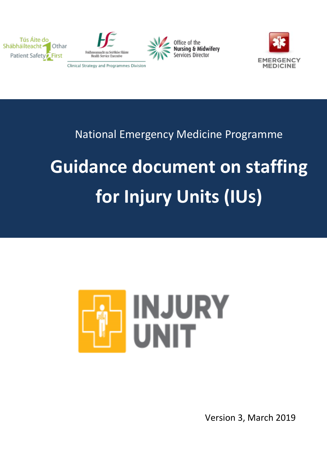







# National Emergency Medicine Programme

# **Guidance document on staffing for Injury Units (IUs)**



Version 3, March 2019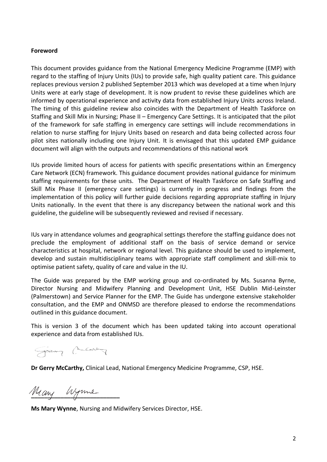#### **Foreword**

This document provides guidance from the National Emergency Medicine Programme (EMP) with regard to the staffing of Injury Units (IUs) to provide safe, high quality patient care. This guidance replaces previous version 2 published September 2013 which was developed at a time when Injury Units were at early stage of development. It is now prudent to revise these guidelines which are informed by operational experience and activity data from established Injury Units across Ireland. The timing of this guideline review also coincides with the Department of Health Taskforce on Staffing and Skill Mix in Nursing; Phase II – Emergency Care Settings. It is anticipated that the pilot of the framework for safe staffing in emergency care settings will include recommendations in relation to nurse staffing for Injury Units based on research and data being collected across four pilot sites nationally including one Injury Unit. It is envisaged that this updated EMP guidance document will align with the outputs and recommendations of this national work

IUs provide limited hours of access for patients with specific presentations within an Emergency Care Network (ECN) framework. This guidance document provides national guidance for minimum staffing requirements for these units. The Department of Health Taskforce on Safe Staffing and Skill Mix Phase II (emergency care settings) is currently in progress and findings from the implementation of this policy will further guide decisions regarding appropriate staffing in Injury Units nationally. In the event that there is any discrepancy between the national work and this guideline, the guideline will be subsequently reviewed and revised if necessary.

IUs vary in attendance volumes and geographical settings therefore the staffing guidance does not preclude the employment of additional staff on the basis of service demand or service characteristics at hospital, network or regional level. This guidance should be used to implement, develop and sustain multidisciplinary teams with appropriate staff compliment and skill-mix to optimise patient safety, quality of care and value in the IU.

The Guide was prepared by the EMP working group and co-ordinated by Ms. Susanna Byrne, Director Nursing and Midwifery Planning and Development Unit, HSE Dublin Mid-Leinster (Palmerstown) and Service Planner for the EMP. The Guide has undergone extensive stakeholder consultation, and the EMP and ONMSD are therefore pleased to endorse the recommendations outlined in this guidance document.

This is version 3 of the document which has been updated taking into account operational experience and data from established IUs.

George Children

**Dr Gerry McCarthy,** Clinical Lead, National Emergency Medicine Programme, CSP, HSE.

Many Wyme

**Ms Mary Wynne**, Nursing and Midwifery Services Director, HSE.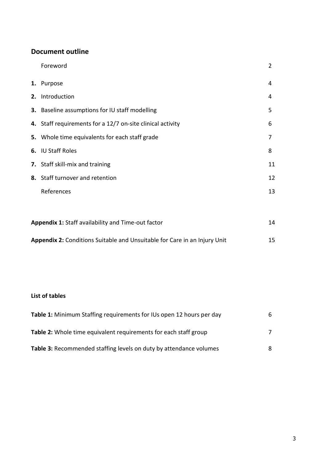# **Document outline**

| Foreword                                                   | 2  |
|------------------------------------------------------------|----|
| 1. Purpose                                                 | 4  |
| 2. Introduction                                            | 4  |
| 3. Baseline assumptions for IU staff modelling             | 5  |
| 4. Staff requirements for a 12/7 on-site clinical activity | 6  |
| 5. Whole time equivalents for each staff grade             | 7  |
| 6. IU Staff Roles                                          | 8  |
| 7. Staff skill-mix and training                            | 11 |
| 8. Staff turnover and retention                            | 12 |
| References                                                 | 13 |
|                                                            |    |

| <b>Appendix 1: Staff availability and Time-out factor</b>                 | 14 |
|---------------------------------------------------------------------------|----|
| Appendix 2: Conditions Suitable and Unsuitable for Care in an Injury Unit | 15 |

# **List of tables**

| <b>Table 1:</b> Minimum Staffing requirements for IUs open 12 hours per day | 6 |
|-----------------------------------------------------------------------------|---|
| <b>Table 2:</b> Whole time equivalent requirements for each staff group     |   |
| Table 3: Recommended staffing levels on duty by attendance volumes          | 8 |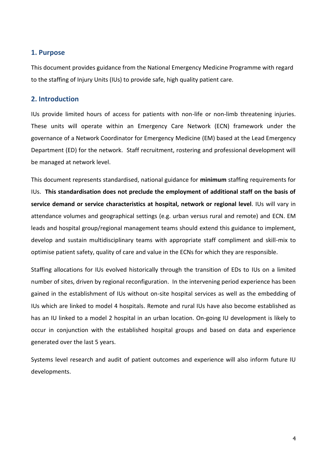#### **1. Purpose**

This document provides guidance from the National Emergency Medicine Programme with regard to the staffing of Injury Units (IUs) to provide safe, high quality patient care.

#### **2. Introduction**

IUs provide limited hours of access for patients with non-life or non-limb threatening injuries. These units will operate within an Emergency Care Network (ECN) framework under the governance of a Network Coordinator for Emergency Medicine (EM) based at the Lead Emergency Department (ED) for the network. Staff recruitment, rostering and professional development will be managed at network level.

This document represents standardised, national guidance for **minimum** staffing requirements for IUs. **This standardisation does not preclude the employment of additional staff on the basis of service demand or service characteristics at hospital, network or regional level**. IUs will vary in attendance volumes and geographical settings (e.g. urban versus rural and remote) and ECN. EM leads and hospital group/regional management teams should extend this guidance to implement, develop and sustain multidisciplinary teams with appropriate staff compliment and skill-mix to optimise patient safety, quality of care and value in the ECNs for which they are responsible.

Staffing allocations for IUs evolved historically through the transition of EDs to IUs on a limited number of sites, driven by regional reconfiguration. In the intervening period experience has been gained in the establishment of IUs without on-site hospital services as well as the embedding of IUs which are linked to model 4 hospitals. Remote and rural IUs have also become established as has an IU linked to a model 2 hospital in an urban location. On-going IU development is likely to occur in conjunction with the established hospital groups and based on data and experience generated over the last 5 years.

Systems level research and audit of patient outcomes and experience will also inform future IU developments.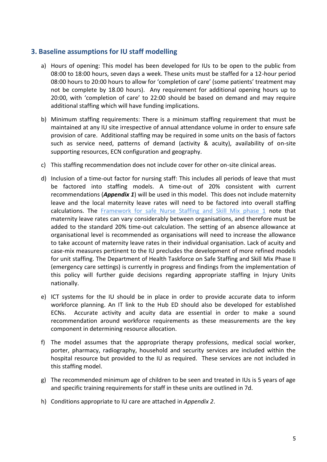### **3. Baseline assumptions for IU staff modelling**

- a) Hours of opening: This model has been developed for IUs to be open to the public from 08:00 to 18:00 hours, seven days a week. These units must be staffed for a 12-hour period 08:00 hours to 20:00 hours to allow for 'completion of care' (some patients' treatment may not be complete by 18.00 hours). Any requirement for additional opening hours up to 20:00, with 'completion of care' to 22:00 should be based on demand and may require additional staffing which will have funding implications.
- b) Minimum staffing requirements: There is a minimum staffing requirement that must be maintained at any IU site irrespective of annual attendance volume in order to ensure safe provision of care. Additional staffing may be required in some units on the basis of factors such as service need, patterns of demand (activity & acuity), availability of on-site supporting resources, ECN configuration and geography.
- c) This staffing recommendation does not include cover for other on-site clinical areas.
- d) Inclusion of a time-out factor for nursing staff: This includes all periods of leave that must be factored into staffing models. A time-out of 20% consistent with current recommendations (*Appendix 1*) will be used in this model. This does not include maternity leave and the local maternity leave rates will need to be factored into overall staffing calculations. The [Framework for safe Nurse Staffing and Skill Mix phase 1](https://health.gov.ie/wp-content/uploads/2018/04/Nursing-Taskforce-Report.pdf) note that maternity leave rates can vary considerably between organisations, and therefore must be added to the standard 20% time-out calculation. The setting of an absence allowance at organisational level is recommended as organisations will need to increase the allowance to take account of maternity leave rates in their individual organisation. Lack of acuity and case-mix measures pertinent to the IU precludes the development of more refined models for unit staffing. The Department of Health Taskforce on Safe Staffing and Skill Mix Phase II (emergency care settings) is currently in progress and findings from the implementation of this policy will further guide decisions regarding appropriate staffing in Injury Units nationally.
- e) ICT systems for the IU should be in place in order to provide accurate data to inform workforce planning. An IT link to the Hub ED should also be developed for established ECNs. Accurate activity and acuity data are essential in order to make a sound recommendation around workforce requirements as these measurements are the key component in determining resource allocation.
- f) The model assumes that the appropriate therapy professions, medical social worker, porter, pharmacy, radiography, household and security services are included within the hospital resource but provided to the IU as required. These services are not included in this staffing model.
- g) The recommended minimum age of children to be seen and treated in IUs is 5 years of age and specific training requirements for staff in these units are outlined in 7d.
- h) Conditions appropriate to IU care are attached in *Appendix 2*.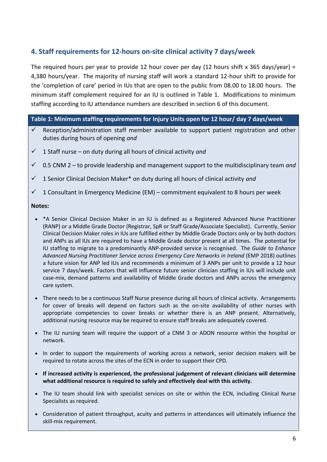# **4. Staff requirements for 12-hours on-site clinical activity 7 days/week**

The required hours per year to provide 12 hour cover per day (12 hours shift x 365 days/year) = 4,380 hours/year. The majority of nursing staff will work a standard 12-hour shift to provide for the 'completion of care' period in IUs that are open to the public from 08.00 to 18.00 hours. The minimum staff complement required for an IU is outlined in Table 1. Modifications to minimum staffing according to IU attendance numbers are described in section 6 of this document.

#### **Table 1: Minimum staffing requirements for Injury Units open for 12 hour/ day 7 days/week**

- $\checkmark$  Reception/administration staff member available to support patient registration and other duties during hours of opening *and*
- $\checkmark$  1 Staff nurse on duty during all hours of clinical activity *and*
- 0.5 CNM 2 to provide leadership and management support to the multidisciplinary team *and*
- 1 Senior Clinical Decision Maker\* on duty during all hours of clinical activity *and*
- $\checkmark$  1 Consultant in Emergency Medicine (EM) commitment equivalent to 8 hours per week

#### **Notes:**

- \*A Senior Clinical Decision Maker in an IU is defined as a Registered Advanced Nurse Practitioner (RANP) or a Middle Grade Doctor (Registrar, SpR or Staff Grade/Associate Specialist). Currently, Senior Clinical Decision Maker roles in IUs are fulfilled either by Middle Grade Doctors only or by both doctors and ANPs as all IUs are required to have a Middle Grade doctor present at all times. The potential for IU staffing to migrate to a predominantly ANP-provided service is recognised. The *Guide to Enhance Advanced Nursing Practitioner Service across Emergency Care Networks in Ireland* (EMP 2018) outlines a future vision for ANP led IUs and recommends a minimum of 3 ANPs per unit to provide a 12 hour service 7 days/week. Factors that will influence future senior clinician staffing in IUs will include unit case-mix, demand patterns and availability of Middle Grade doctors and ANPs across the emergency care system.
- There needs to be a continuous Staff Nurse presence during all hours of clinical activity. Arrangements for cover of breaks will depend on factors such as the on-site availability of other nurses with appropriate competencies to cover breaks or whether there is an ANP present. Alternatively, additional nursing resource may be required to ensure staff breaks are adequately covered.
- The IU nursing team will require the support of a CNM 3 or ADON resource within the hospital or network.
- In order to support the requirements of working across a network, senior decision makers will be required to rotate across the sites of the ECN in order to support their CPD.
- **If increased activity is experienced, the professional judgement of relevant clinicians will determine what additional resource is required to safely and effectively deal with this activity.**
- The IU team should link with specialist services on site or within the ECN, including Clinical Nurse Specialists as required.
- Consideration of patient throughput, acuity and patterns in attendances will ultimately influence the skill-mix requirement.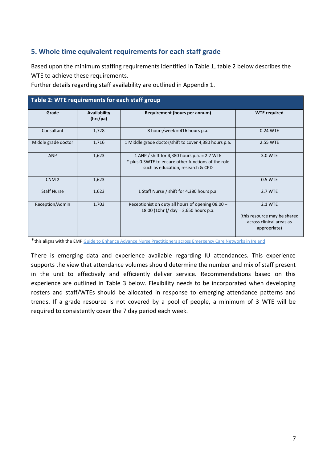# **5. Whole time equivalent requirements for each staff grade**

Based upon the minimum staffing requirements identified in Table 1, table 2 below describes the WTE to achieve these requirements.

| Table 2: WTE requirements for each staff group |                          |                                                                                                                                            |                                                                                     |  |  |
|------------------------------------------------|--------------------------|--------------------------------------------------------------------------------------------------------------------------------------------|-------------------------------------------------------------------------------------|--|--|
| Grade                                          | Availability<br>(hrs/pa) | Requirement (hours per annum)                                                                                                              | <b>WTE</b> required                                                                 |  |  |
| Consultant                                     | 1,728                    | 8 hours/week = $416$ hours p.a.                                                                                                            | 0.24 WTE                                                                            |  |  |
| Middle grade doctor                            | 1,716                    | 1 Middle grade doctor/shift to cover 4,380 hours p.a.                                                                                      | 2.55 WTE                                                                            |  |  |
| <b>ANP</b>                                     | 1,623                    | 1 ANP / shift for 4,380 hours p.a. $= 2.7$ WTE<br>* plus 0.3WTE to ensure other functions of the role<br>such as education, research & CPD | 3.0 WTE                                                                             |  |  |
| CNM <sub>2</sub>                               | 1,623                    |                                                                                                                                            | 0.5 WTE                                                                             |  |  |
| <b>Staff Nurse</b>                             | 1,623                    | 1 Staff Nurse / shift for 4,380 hours p.a.                                                                                                 | 2.7 WTE                                                                             |  |  |
| Reception/Admin                                | 1,703                    | Receptionist on duty all hours of opening 08.00 -<br>18.00 (10hr)/ day = 3,650 hours p.a.                                                  | 2.1 WTE<br>(this resource may be shared<br>across clinical areas as<br>appropriate) |  |  |

Further details regarding staff availability are outlined in Appendix 1.

\*this aligns with the EM[P Guide to Enhance Advance Nurse Practitioners across Emergency Care Networks in Ireland](http://www.iaem.ie/wp-content/uploads/2013/02/guide-to-enhancing-anp-services-july-2013-final.pdf)

There is emerging data and experience available regarding IU attendances. This experience supports the view that attendance volumes should determine the number and mix of staff present in the unit to effectively and efficiently deliver service. Recommendations based on this experience are outlined in Table 3 below. Flexibility needs to be incorporated when developing rosters and staff/WTEs should be allocated in response to emerging attendance patterns and trends. If a grade resource is not covered by a pool of people, a minimum of 3 WTE will be required to consistently cover the 7 day period each week.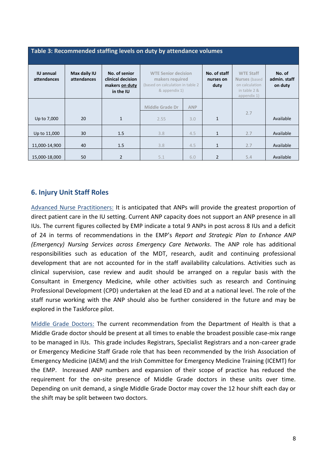| Table 3: Recommended staffing levels on duty by attendance volumes |                             |                                                                   |                                                                                                    |            |                                   |                                                                                           |                                   |
|--------------------------------------------------------------------|-----------------------------|-------------------------------------------------------------------|----------------------------------------------------------------------------------------------------|------------|-----------------------------------|-------------------------------------------------------------------------------------------|-----------------------------------|
| <b>IU annual</b><br>attendances                                    | Max daily IU<br>attendances | No. of senior<br>clinical decision<br>makers on duty<br>in the IU | <b>WTE Senior decision</b><br>makers required<br>(based on calculation in table 2<br>& appendix 1) |            | No. of staff<br>nurses on<br>duty | <b>WTE Staff</b><br><b>Nurses</b> (based<br>on calculation<br>in table 2 &<br>appendix 1) | No. of<br>admin. staff<br>on duty |
|                                                                    |                             |                                                                   | <b>Middle Grade Dr</b>                                                                             | <b>ANP</b> |                                   |                                                                                           |                                   |
| Up to 7,000                                                        | 20                          | $\mathbf{1}$                                                      | 2.55                                                                                               | 3.0        | $\mathbf{1}$                      | 2.7                                                                                       | Available                         |
| Up to 11,000                                                       | 30                          | 1.5                                                               | 3.8                                                                                                | 4.5        | $\mathbf{1}$                      | 2.7                                                                                       | Available                         |
| 11,000-14,900                                                      | 40                          | 1.5                                                               | 3.8                                                                                                | 4.5        | $\mathbf{1}$                      | 2.7                                                                                       | Available                         |
| 15,000-18,000                                                      | 50                          | $\overline{2}$                                                    | 5.1                                                                                                | 6.0        | 2                                 | 5.4                                                                                       | Available                         |

## **6. Injury Unit Staff Roles**

Advanced Nurse Practitioners: It is anticipated that ANPs will provide the greatest proportion of direct patient care in the IU setting. Current ANP capacity does not support an ANP presence in all IUs. The current figures collected by EMP indicate a total 9 ANPs in post across 8 IUs and a deficit of 24 in terms of recommendations in the EMP's *Report and Strategic Plan to Enhance ANP (Emergency) Nursing Services across Emergency Care Networks*. The ANP role has additional responsibilities such as education of the MDT, research, audit and continuing professional development that are not accounted for in the staff availability calculations. Activities such as clinical supervision, case review and audit should be arranged on a regular basis with the Consultant in Emergency Medicine, while other activities such as research and Continuing Professional Development (CPD) undertaken at the lead ED and at a national level. The role of the staff nurse working with the ANP should also be further considered in the future and may be explored in the Taskforce pilot.

Middle Grade Doctors: The current recommendation from the Department of Health is that a Middle Grade doctor should be present at all times to enable the broadest possible case-mix range to be managed in IUs. This grade includes Registrars, Specialist Registrars and a non-career grade or Emergency Medicine Staff Grade role that has been recommended by the Irish Association of Emergency Medicine (IAEM) and the Irish Committee for Emergency Medicine Training (ICEMT) for the EMP. Increased ANP numbers and expansion of their scope of practice has reduced the requirement for the on-site presence of Middle Grade doctors in these units over time. Depending on unit demand, a single Middle Grade Doctor may cover the 12 hour shift each day or the shift may be split between two doctors.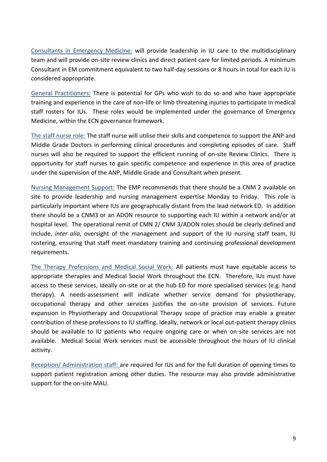Consultants in Emergency Medicine: will provide leadership in IU care to the multidisciplinary team and will provide on-site review clinics and direct patient care for limited periods. A minimum Consultant in EM commitment equivalent to two half-day sessions or 8 hours in total for each IU is considered appropriate.

General Practitioners: There is potential for GPs who wish to do so and who have appropriate training and experience in the care of non-life or limb threatening injuries to participate in medical staff rosters for IUs. These roles would be implemented under the governance of Emergency Medicine, within the ECN governance framework.

The staff nurse role: The staff nurse will utilise their skills and competence to support the ANP and Middle Grade Doctors in performing clinical procedures and completing episodes of care. Staff nurses will also be required to support the efficient running of on-site Review Clinics. There is opportunity for staff nurses to gain specific competence and experience in this area of practice under the supervision of the ANP, Middle Grade and Consultant when present.

Nursing Management Support: The EMP recommends that there should be a CNM 2 available on site to provide leadership and nursing management expertise Monday to Friday. This role is particularly important where IUs are geographically distant from the lead network ED. In addition there should be a CNM3 or an ADON resource to supporting each IU within a network and/or at hospital level. The operational remit of CMN 2/ CNM 3/ADON roles should be clearly defined and include, *inter alia*, oversight of the management and support of the IU nursing staff team, IU rostering, ensuring that staff meet mandatory training and continuing professional development requirements.

The Therapy Professions and Medical Social Work: All patients must have equitable access to appropriate therapies and Medical Social Work throughout the ECN. Therefore, IUs must have access to these services, ideally on-site or at the hub ED for more specialised services (e.g. hand therapy). A needs-assessment will indicate whether service demand for physiotherapy, occupational therapy and other services justifies the on-site provision of services. Future expansion in Physiotherapy and Occupational Therapy scope of practice may enable a greater contribution of these professions to IU staffing. Ideally, network or local out-patient therapy clinics should be available to IU patients who require ongoing care or when on-site services are not available. Medical Social Work services must be accessible throughout the hours of IU clinical activity.

Reception/ Administration staff: are required for IUs and for the full duration of opening times to support patient registration among other duties. The resource may also provide administrative support for the on-site MAU.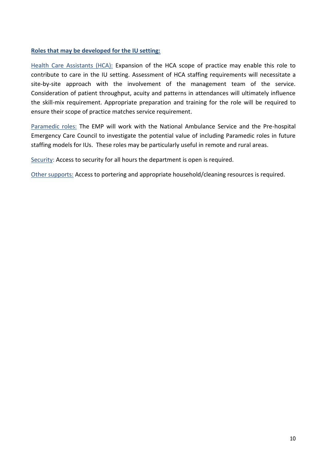#### **Roles that may be developed for the IU setting:**

Health Care Assistants (HCA): Expansion of the HCA scope of practice may enable this role to contribute to care in the IU setting. Assessment of HCA staffing requirements will necessitate a site-by-site approach with the involvement of the management team of the service. Consideration of patient throughput, acuity and patterns in attendances will ultimately influence the skill-mix requirement. Appropriate preparation and training for the role will be required to ensure their scope of practice matches service requirement.

Paramedic roles: The EMP will work with the National Ambulance Service and the Pre-hospital Emergency Care Council to investigate the potential value of including Paramedic roles in future staffing models for IUs. These roles may be particularly useful in remote and rural areas.

Security: Access to security for all hours the department is open is required.

Other supports: Access to portering and appropriate household/cleaning resources is required.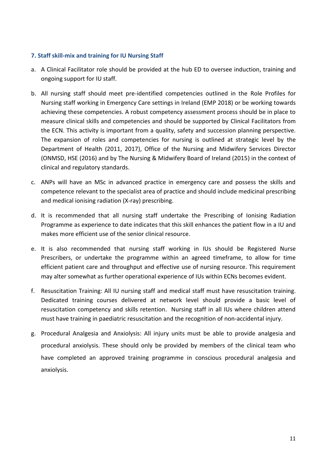#### **7. Staff skill-mix and training for IU Nursing Staff**

- a. A Clinical Facilitator role should be provided at the hub ED to oversee induction, training and ongoing support for IU staff.
- b. All nursing staff should meet pre-identified competencies outlined in the Role Profiles for Nursing staff working in Emergency Care settings in Ireland (EMP 2018) or be working towards achieving these competencies. A robust competency assessment process should be in place to measure clinical skills and competencies and should be supported by Clinical Facilitators from the ECN. This activity is important from a quality, safety and succession planning perspective. The expansion of roles and competencies for nursing is outlined at strategic level by the Department of Health (2011, 2017), Office of the Nursing and Midwifery Services Director (ONMSD, HSE (2016) and by The Nursing & Midwifery Board of Ireland (2015) in the context of clinical and regulatory standards.
- c. ANPs will have an MSc in advanced practice in emergency care and possess the skills and competence relevant to the specialist area of practice and should include medicinal prescribing and medical ionising radiation (X-ray) prescribing.
- d. It is recommended that all nursing staff undertake the Prescribing of Ionising Radiation Programme as experience to date indicates that this skill enhances the patient flow in a IU and makes more efficient use of the senior clinical resource.
- e. It is also recommended that nursing staff working in IUs should be Registered Nurse Prescribers, or undertake the programme within an agreed timeframe, to allow for time efficient patient care and throughput and effective use of nursing resource. This requirement may alter somewhat as further operational experience of IUs within ECNs becomes evident.
- f. Resuscitation Training: All IU nursing staff and medical staff must have resuscitation training. Dedicated training courses delivered at network level should provide a basic level of resuscitation competency and skills retention. Nursing staff in all IUs where children attend must have training in paediatric resuscitation and the recognition of non-accidental injury.
- g. Procedural Analgesia and Anxiolysis: All injury units must be able to provide analgesia and procedural anxiolysis. These should only be provided by members of the clinical team who have completed an approved training programme in conscious procedural analgesia and anxiolysis.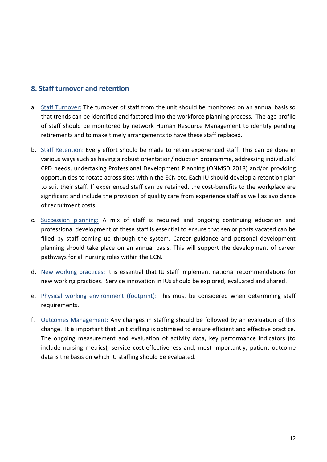#### **8. Staff turnover and retention**

- a. Staff Turnover: The turnover of staff from the unit should be monitored on an annual basis so that trends can be identified and factored into the workforce planning process. The age profile of staff should be monitored by network Human Resource Management to identify pending retirements and to make timely arrangements to have these staff replaced.
- b. Staff Retention: Every effort should be made to retain experienced staff. This can be done in various ways such as having a robust orientation/induction programme, addressing individuals' CPD needs, undertaking Professional Development Planning (ONMSD 2018) and/or providing opportunities to rotate across sites within the ECN etc. Each IU should develop a retention plan to suit their staff. If experienced staff can be retained, the cost-benefits to the workplace are significant and include the provision of quality care from experience staff as well as avoidance of recruitment costs.
- c. Succession planning: A mix of staff is required and ongoing continuing education and professional development of these staff is essential to ensure that senior posts vacated can be filled by staff coming up through the system. Career guidance and personal development planning should take place on an annual basis. This will support the development of career pathways for all nursing roles within the ECN.
- d. New working practices: It is essential that IU staff implement national recommendations for new working practices. Service innovation in IUs should be explored, evaluated and shared.
- e. Physical working environment (footprint): This must be considered when determining staff requirements.
- f. Outcomes Management: Any changes in staffing should be followed by an evaluation of this change. It is important that unit staffing is optimised to ensure efficient and effective practice. The ongoing measurement and evaluation of activity data, key performance indicators (to include nursing metrics), service cost-effectiveness and, most importantly, patient outcome data is the basis on which IU staffing should be evaluated.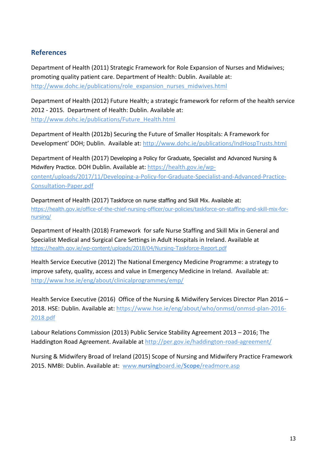# **References**

Department of Health (2011) Strategic Framework for Role Expansion of Nurses and Midwives; promoting quality patient care. Department of Health: Dublin. Available at: [http://www.dohc.ie/publications/role\\_expansion\\_nurses\\_midwives.html](http://www.dohc.ie/publications/role_expansion_nurses_midwives.html)

Department of Health (2012) Future Health; a strategic framework for reform of the health service 2012 - 2015. Department of Health: Dublin. Available at: [http://www.dohc.ie/publications/Future\\_Health.html](http://www.dohc.ie/publications/Future_Health.html)

Department of Health (2012b) Securing the Future of Smaller Hospitals: A Framework for Development' DOH; Dublin. Available at:<http://www.dohc.ie/publications/IndHospTrusts.html>

Department of Health (2017) Developing a Policy for Graduate, Specialist and Advanced Nursing & Midwifery Practice. DOH Dublin. Available at: [https://health.gov.ie/wp](https://health.gov.ie/wp-content/uploads/2017/11/Developing-a-Policy-for-Graduate-Specialist-and-Advanced-Practice-Consultation-Paper.pdf)[content/uploads/2017/11/Developing-a-Policy-for-Graduate-Specialist-and-Advanced-Practice-](https://health.gov.ie/wp-content/uploads/2017/11/Developing-a-Policy-for-Graduate-Specialist-and-Advanced-Practice-Consultation-Paper.pdf)[Consultation-Paper.pdf](https://health.gov.ie/wp-content/uploads/2017/11/Developing-a-Policy-for-Graduate-Specialist-and-Advanced-Practice-Consultation-Paper.pdf)

Department of Health (2017) Taskforce on nurse staffing and Skill Mix. Available at: [https://health.gov.ie/office-of-the-chief-nursing-officer/our-policies/taskforce-on-staffing-and-skill-mix-for](https://health.gov.ie/office-of-the-chief-nursing-officer/our-policies/taskforce-on-staffing-and-skill-mix-for-nursing/)[nursing/](https://health.gov.ie/office-of-the-chief-nursing-officer/our-policies/taskforce-on-staffing-and-skill-mix-for-nursing/)

Department of Health (2018) Framework for safe Nurse Staffing and Skill Mix in General and Specialist Medical and Surgical Care Settings in Adult Hospitals in Ireland. Available at <https://health.gov.ie/wp-content/uploads/2018/04/Nursing-Taskforce-Report.pdf>

Health Service Executive (2012) The National Emergency Medicine Programme: a strategy to improve safety, quality, access and value in Emergency Medicine in Ireland. Available at: <http://www.hse.ie/eng/about/clinicalprogrammes/emp/>

Health Service Executive (2016) Office of the Nursing & Midwifery Services Director Plan 2016 – 2018. HSE: Dublin. Available at: [https://www.hse.ie/eng/about/who/onmsd/onmsd-plan-2016-](https://www.hse.ie/eng/about/who/onmsd/onmsd-plan-2016-2018.pdf) [2018.pdf](https://www.hse.ie/eng/about/who/onmsd/onmsd-plan-2016-2018.pdf)

Labour Relations Commission (2013) Public Service Stability Agreement 2013 – 2016; The Haddington Road Agreement. Available at<http://per.gov.ie/haddington-road-agreement/>

Nursing & Midwifery Broad of Ireland (2015) Scope of Nursing and Midwifery Practice Framework 2015. NMBI: Dublin. Available at: www.**nursing**board.ie/**Scope**[/readmore.asp](http://www.nursingboard.ie/Scope/readmore.asp)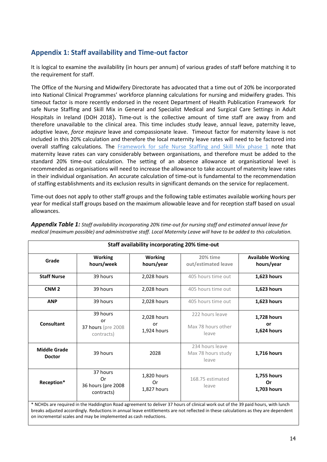# **Appendix 1: Staff availability and Time-out factor**

It is logical to examine the availability (in hours per annum) of various grades of staff before matching it to the requirement for staff.

The Office of the Nursing and Midwifery Directorate has advocated that a time out of 20% be incorporated into National Clinical Programmes' workforce planning calculations for nursing and midwifery grades. This timeout factor is more recently endorsed in the recent Department of Health Publication Framework for safe Nurse Staffing and Skill Mix in General and Specialist Medical and Surgical Care Settings in Adult Hospitals in Ireland (DOH 2018). Time-out is the collective amount of time staff are away from and therefore unavailable to the clinical area. This time includes study leave, annual leave, paternity leave, adoptive leave, *force majeure* leave and compassionate leave. Timeout factor for maternity leave is not included in this 20% calculation and therefore the local maternity leave rates will need to be factored into overall staffing calculations. The [Framework for safe Nurse Staffing and Skill Mix phase 1](https://health.gov.ie/wp-content/uploads/2018/04/Nursing-Taskforce-Report.pdf) note that maternity leave rates can vary considerably between organisations, and therefore must be added to the standard 20% time-out calculation. The setting of an absence allowance at organisational level is recommended as organisations will need to increase the allowance to take account of maternity leave rates in their individual organisation. An accurate calculation of time-out is fundamental to the recommendation of staffing establishments and its exclusion results in significant demands on the service for replacement.

Time-out does not apply to other staff groups and the following table estimates available working hours per year for medical staff groups based on the maximum allowable leave and for reception staff based on usual allowances.

|                                      |                                                                  | <b>Staff availability incorporating 20% time-out</b> |                                                                                                                                                                                                                                                                       |                                        |
|--------------------------------------|------------------------------------------------------------------|------------------------------------------------------|-----------------------------------------------------------------------------------------------------------------------------------------------------------------------------------------------------------------------------------------------------------------------|----------------------------------------|
| Grade                                | <b>Working</b><br>hours/week                                     | <b>Working</b><br>hours/year                         | 20% time<br>out/estimated leave                                                                                                                                                                                                                                       | <b>Available Working</b><br>hours/year |
| <b>Staff Nurse</b>                   | 39 hours                                                         | 2,028 hours                                          | 405 hours time out                                                                                                                                                                                                                                                    | 1,623 hours                            |
| CNM <sub>2</sub>                     | 39 hours                                                         | 2,028 hours                                          | 405 hours time out                                                                                                                                                                                                                                                    | 1,623 hours                            |
| <b>ANP</b>                           | 39 hours                                                         | 2,028 hours                                          | 405 hours time out                                                                                                                                                                                                                                                    | 1,623 hours                            |
| <b>Consultant</b>                    | 39 hours<br>or<br>37 hours (pre 2008<br>contracts)               | 2,028 hours<br>or<br>1,924 hours                     | 222 hours leave<br>Max 78 hours other<br>leave                                                                                                                                                                                                                        | 1,728 hours<br>or<br>1,624 hours       |
| <b>Middle Grade</b><br><b>Doctor</b> | 39 hours                                                         | 2028                                                 | 234 hours leave<br>Max 78 hours study<br>leave                                                                                                                                                                                                                        | 1,716 hours                            |
| Reception*                           | 37 hours<br>Or<br>36 hours (pre 2008<br>contracts)               | 1,820 hours<br>Or<br>1,827 hours                     | 168.75 estimated<br>leave                                                                                                                                                                                                                                             | 1,755 hours<br>Or<br>1,703 hours       |
|                                      | on incremental scales and may be implemented as cash reductions. |                                                      | * NCHDs are required in the Haddington Road agreement to deliver 37 hours of clinical work out of the 39 paid hours, with lunch<br>breaks adjusted accordingly. Reductions in annual leave entitlements are not reflected in these calculations as they are dependent |                                        |

*Appendix Table 1: Staff availability incorporating 20% time-out for nursing staff and estimated annual leave for medical (maximum possible) and administrative staff. Local Maternity Leave will have to be added to this calculation.*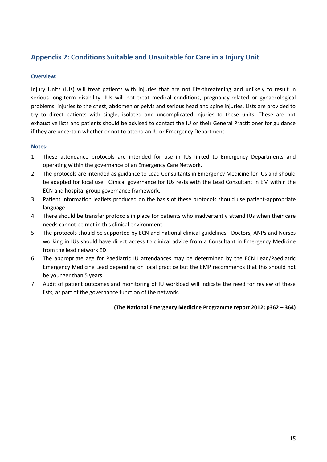# **Appendix 2: Conditions Suitable and Unsuitable for Care in a Injury Unit**

#### **Overview:**

Injury Units (IUs) will treat patients with injuries that are not life-threatening and unlikely to result in serious long-term disability. IUs will not treat medical conditions, pregnancy-related or gynaecological problems, injuries to the chest, abdomen or pelvis and serious head and spine injuries. Lists are provided to try to direct patients with single, isolated and uncomplicated injuries to these units. These are not exhaustive lists and patients should be advised to contact the IU or their General Practitioner for guidance if they are uncertain whether or not to attend an IU or Emergency Department.

#### **Notes:**

- 1. These attendance protocols are intended for use in IUs linked to Emergency Departments and operating within the governance of an Emergency Care Network.
- 2. The protocols are intended as guidance to Lead Consultants in Emergency Medicine for IUs and should be adapted for local use. Clinical governance for IUs rests with the Lead Consultant in EM within the ECN and hospital group governance framework.
- 3. Patient information leaflets produced on the basis of these protocols should use patient-appropriate language.
- 4. There should be transfer protocols in place for patients who inadvertently attend IUs when their care needs cannot be met in this clinical environment.
- 5. The protocols should be supported by ECN and national clinical guidelines. Doctors, ANPs and Nurses working in IUs should have direct access to clinical advice from a Consultant in Emergency Medicine from the lead network ED.
- 6. The appropriate age for Paediatric IU attendances may be determined by the ECN Lead/Paediatric Emergency Medicine Lead depending on local practice but the EMP recommends that this should not be younger than 5 years.
- 7. Audit of patient outcomes and monitoring of IU workload will indicate the need for review of these lists, as part of the governance function of the network.

#### **(The National Emergency Medicine Programme report 2012; p362 – 364)**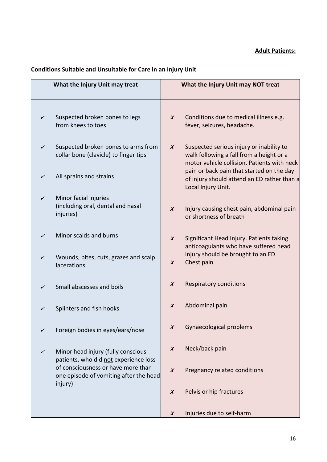#### **Adult Patients:**

# **Conditions Suitable and Unsuitable for Care in an Injury Unit**

| What the Injury Unit may treat                                                          | What the Injury Unit may NOT treat                                                                                                                      |
|-----------------------------------------------------------------------------------------|---------------------------------------------------------------------------------------------------------------------------------------------------------|
| Suspected broken bones to legs<br>✓<br>from knees to toes                               | Conditions due to medical illness e.g.<br>$\boldsymbol{x}$<br>fever, seizures, headache.                                                                |
| Suspected broken bones to arms from<br>✓<br>collar bone (clavicle) to finger tips       | Suspected serious injury or inability to<br>$\boldsymbol{X}$<br>walk following a fall from a height or a<br>motor vehicle collision. Patients with neck |
| All sprains and strains<br>✓                                                            | pain or back pain that started on the day<br>of injury should attend an ED rather than a<br>Local Injury Unit.                                          |
| Minor facial injuries<br>$\checkmark$<br>(including oral, dental and nasal<br>injuries) | Injury causing chest pain, abdominal pain<br>$\boldsymbol{X}$<br>or shortness of breath                                                                 |
| Minor scalds and burns<br>✓                                                             | Significant Head Injury. Patients taking<br>$\boldsymbol{X}$<br>anticoagulants who have suffered head                                                   |
| Wounds, bites, cuts, grazes and scalp<br>✓<br>lacerations                               | injury should be brought to an ED<br>Chest pain<br>$\boldsymbol{x}$                                                                                     |
| Small abscesses and boils<br>✓                                                          | Respiratory conditions<br>$\boldsymbol{x}$                                                                                                              |
| Splinters and fish hooks<br>✓                                                           | Abdominal pain<br>$\boldsymbol{X}$                                                                                                                      |
| Foreign bodies in eyes/ears/nose<br>✓                                                   | Gynaecological problems<br>$\boldsymbol{X}$                                                                                                             |
| Minor head injury (fully conscious<br>✓<br>patients, who did not experience loss        | Neck/back pain<br>$\boldsymbol{X}$                                                                                                                      |
| of consciousness or have more than<br>one episode of vomiting after the head<br>injury) | Pregnancy related conditions<br>$\boldsymbol{x}$                                                                                                        |
|                                                                                         | Pelvis or hip fractures<br>$\boldsymbol{X}$                                                                                                             |
|                                                                                         | Injuries due to self-harm<br>$\boldsymbol{x}$                                                                                                           |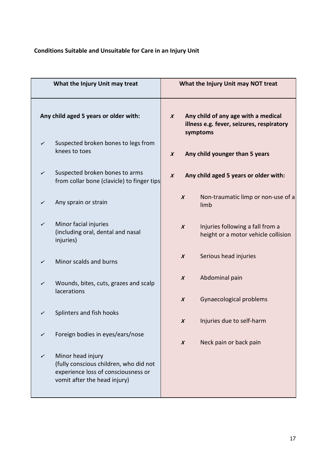# **Conditions Suitable and Unsuitable for Care in an Injury Unit**

| What the Injury Unit may treat        |                                                                                                                                    |                  |                                                                                                                  | What the Injury Unit may NOT treat                                      |  |
|---------------------------------------|------------------------------------------------------------------------------------------------------------------------------------|------------------|------------------------------------------------------------------------------------------------------------------|-------------------------------------------------------------------------|--|
| Any child aged 5 years or older with: |                                                                                                                                    |                  | Any child of any age with a medical<br>$\boldsymbol{X}$<br>illness e.g. fever, seizures, respiratory<br>symptoms |                                                                         |  |
| ✓                                     | Suspected broken bones to legs from<br>knees to toes                                                                               | $\boldsymbol{x}$ |                                                                                                                  | Any child younger than 5 years                                          |  |
| ✓                                     | Suspected broken bones to arms<br>from collar bone (clavicle) to finger tips                                                       | $\boldsymbol{X}$ |                                                                                                                  | Any child aged 5 years or older with:                                   |  |
| ✓                                     | Any sprain or strain                                                                                                               |                  | $\boldsymbol{x}$                                                                                                 | Non-traumatic limp or non-use of a<br>limb                              |  |
| ✓                                     | Minor facial injuries<br>(including oral, dental and nasal<br>injuries)                                                            |                  | $\boldsymbol{x}$                                                                                                 | Injuries following a fall from a<br>height or a motor vehicle collision |  |
| ✓                                     | Minor scalds and burns                                                                                                             |                  | $\boldsymbol{x}$                                                                                                 | Serious head injuries                                                   |  |
| ✓                                     | Wounds, bites, cuts, grazes and scalp<br>lacerations                                                                               |                  | $\boldsymbol{X}$                                                                                                 | Abdominal pain                                                          |  |
|                                       |                                                                                                                                    |                  | $\boldsymbol{x}$                                                                                                 | Gynaecological problems                                                 |  |
| ✓                                     | Splinters and fish hooks                                                                                                           |                  | X                                                                                                                | Injuries due to self-harm                                               |  |
| ✓                                     | Foreign bodies in eyes/ears/nose                                                                                                   |                  | $\boldsymbol{X}$                                                                                                 | Neck pain or back pain                                                  |  |
| ✓                                     | Minor head injury<br>(fully conscious children, who did not<br>experience loss of consciousness or<br>vomit after the head injury) |                  |                                                                                                                  |                                                                         |  |